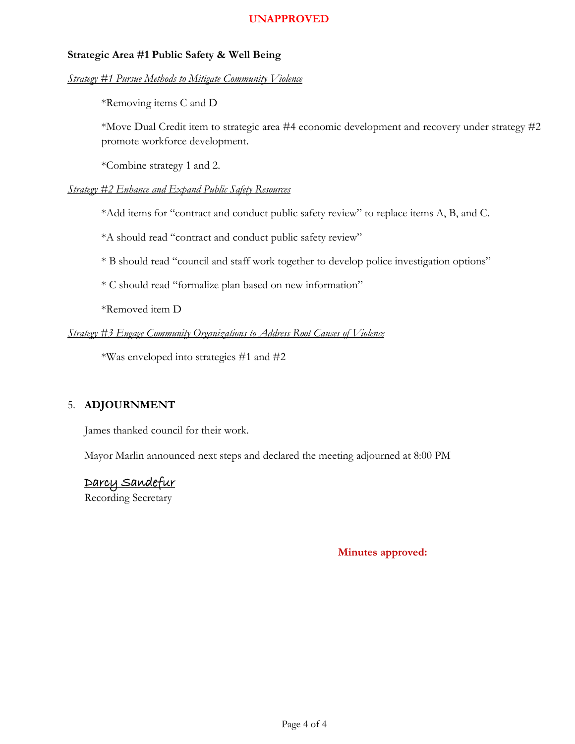### **Strategic Area #1 Public Safety & Well Being**

### *Strategy #1 Pursue Methods to Mitigate Community Violence*

\*Removing items C and D

\*Move Dual Credit item to strategic area #4 economic development and recovery under strategy #2 promote workforce development.

\*Combine strategy 1 and 2.

### *Strategy #2 Enhance and Expand Public Safety Resources*

\*Add items for "contract and conduct public safety review" to replace items A, B, and C.

\*A should read "contract and conduct public safety review"

\* B should read "council and staff work together to develop police investigation options"

\* C should read "formalize plan based on new information"

\*Removed item D

### *Strategy #3 Engage Community Organizations to Address Root Causes of Violence*

\*Was enveloped into strategies #1 and #2

### 5. **ADJOURNMENT**

James thanked council for their work.

Mayor Marlin announced next steps and declared the meeting adjourned at 8:00 PM

### Darcy Sandefur

Recording Secretary

**Minutes approved:** 1/24/2022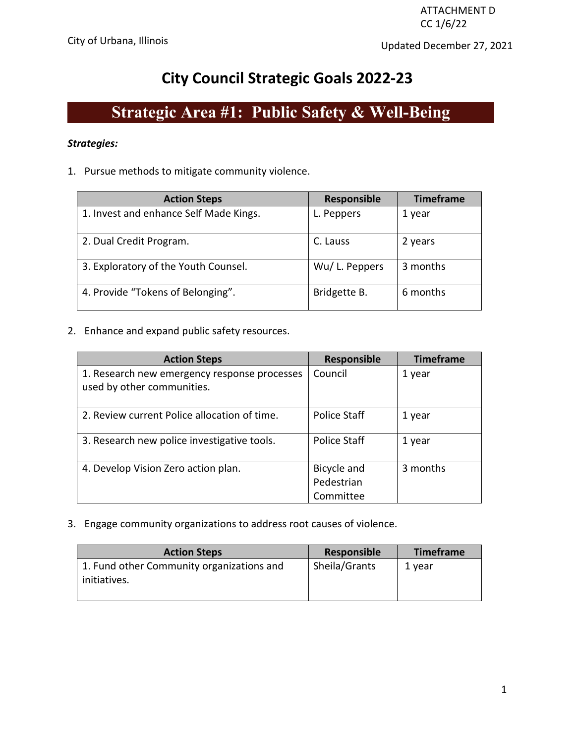# **City Council Strategic Goals 2022-23**

# **Strategic Area #1: Public Safety & Well-Being**

### *Strategies:*

1. Pursue methods to mitigate community violence.

| <b>Action Steps</b>                    | <b>Responsible</b> | <b>Timeframe</b> |
|----------------------------------------|--------------------|------------------|
| 1. Invest and enhance Self Made Kings. | L. Peppers         | 1 year           |
| 2. Dual Credit Program.                | C. Lauss           | 2 years          |
| 3. Exploratory of the Youth Counsel.   | Wu/L. Peppers      | 3 months         |
| 4. Provide "Tokens of Belonging".      | Bridgette B.       | 6 months         |

2. Enhance and expand public safety resources.

| <b>Action Steps</b>                                                        | Responsible                            | <b>Timeframe</b> |
|----------------------------------------------------------------------------|----------------------------------------|------------------|
| 1. Research new emergency response processes<br>used by other communities. | Council                                | 1 year           |
| 2. Review current Police allocation of time.                               | Police Staff                           | 1 year           |
| 3. Research new police investigative tools.                                | Police Staff                           | 1 year           |
| 4. Develop Vision Zero action plan.                                        | Bicycle and<br>Pedestrian<br>Committee | 3 months         |

3. Engage community organizations to address root causes of violence.

| <b>Action Steps</b>                       | Responsible   | <b>Timeframe</b> |
|-------------------------------------------|---------------|------------------|
| 1. Fund other Community organizations and | Sheila/Grants | 1 vear           |
| initiatives.                              |               |                  |
|                                           |               |                  |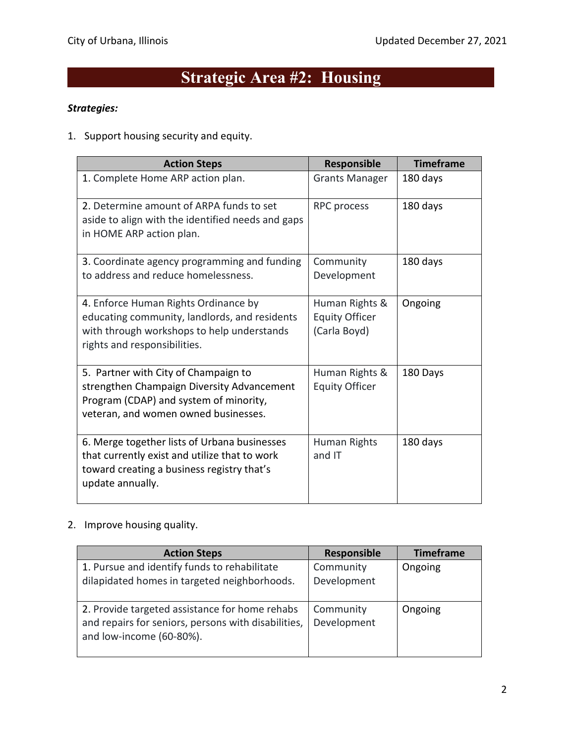# **Strategic Area #2: Housing**

### *Strategies:*

1. Support housing security and equity.

| <b>Action Steps</b>                                                                                                                                                  | Responsible                                             | <b>Timeframe</b> |
|----------------------------------------------------------------------------------------------------------------------------------------------------------------------|---------------------------------------------------------|------------------|
| 1. Complete Home ARP action plan.                                                                                                                                    | <b>Grants Manager</b>                                   | 180 days         |
| 2. Determine amount of ARPA funds to set<br>aside to align with the identified needs and gaps<br>in HOME ARP action plan.                                            | RPC process                                             | 180 days         |
| 3. Coordinate agency programming and funding<br>to address and reduce homelessness.                                                                                  | Community<br>Development                                | 180 days         |
| 4. Enforce Human Rights Ordinance by<br>educating community, landlords, and residents<br>with through workshops to help understands<br>rights and responsibilities.  | Human Rights &<br><b>Equity Officer</b><br>(Carla Boyd) | Ongoing          |
| 5. Partner with City of Champaign to<br>strengthen Champaign Diversity Advancement<br>Program (CDAP) and system of minority,<br>veteran, and women owned businesses. | Human Rights &<br><b>Equity Officer</b>                 | 180 Days         |
| 6. Merge together lists of Urbana businesses<br>that currently exist and utilize that to work<br>toward creating a business registry that's<br>update annually.      | Human Rights<br>and IT                                  | 180 days         |

2. Improve housing quality.

| <b>Action Steps</b>                                                                                                               | <b>Responsible</b>       | <b>Timeframe</b> |
|-----------------------------------------------------------------------------------------------------------------------------------|--------------------------|------------------|
| 1. Pursue and identify funds to rehabilitate<br>dilapidated homes in targeted neighborhoods.                                      | Community<br>Development | Ongoing          |
| 2. Provide targeted assistance for home rehabs<br>and repairs for seniors, persons with disabilities,<br>and low-income (60-80%). | Community<br>Development | Ongoing          |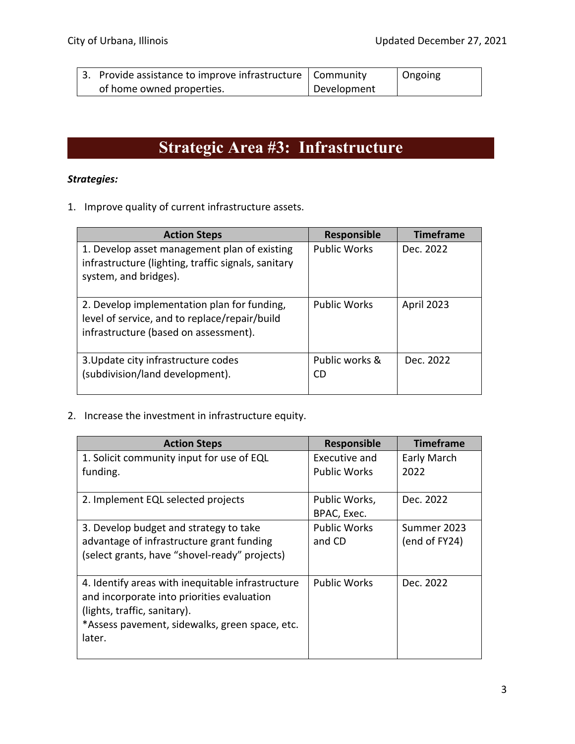| 3. Provide assistance to improve infrastructure   Community |             | Ongoing |
|-------------------------------------------------------------|-------------|---------|
| of home owned properties.                                   | Development |         |

# **Strategic Area #3: Infrastructure**

# *Strategies:*

1. Improve quality of current infrastructure assets.

| <b>Action Steps</b>                                                                                                                   | <b>Responsible</b>   | <b>Timeframe</b> |
|---------------------------------------------------------------------------------------------------------------------------------------|----------------------|------------------|
| 1. Develop asset management plan of existing<br>infrastructure (lighting, traffic signals, sanitary<br>system, and bridges).          | <b>Public Works</b>  | Dec. 2022        |
| 2. Develop implementation plan for funding,<br>level of service, and to replace/repair/build<br>infrastructure (based on assessment). | <b>Public Works</b>  | April 2023       |
| 3. Update city infrastructure codes<br>(subdivision/land development).                                                                | Public works &<br>CD | Dec. 2022        |

# 2. Increase the investment in infrastructure equity.

| <b>Action Steps</b>                                      | <b>Responsible</b>  | <b>Timeframe</b> |
|----------------------------------------------------------|---------------------|------------------|
| 1. Solicit community input for use of EQL                | Executive and       | Early March      |
| funding.                                                 | <b>Public Works</b> | 2022             |
| 2. Implement EQL selected projects                       | Public Works,       | Dec. 2022        |
|                                                          | BPAC, Exec.         |                  |
| 3. Develop budget and strategy to take                   | <b>Public Works</b> | Summer 2023      |
| advantage of infrastructure grant funding                | and CD              | (end of FY24)    |
| (select grants, have "shovel-ready" projects)            |                     |                  |
| 4. Identify areas with inequitable infrastructure        | <b>Public Works</b> | Dec. 2022        |
| and incorporate into priorities evaluation               |                     |                  |
| (lights, traffic, sanitary).                             |                     |                  |
| *Assess pavement, sidewalks, green space, etc.<br>later. |                     |                  |
|                                                          |                     |                  |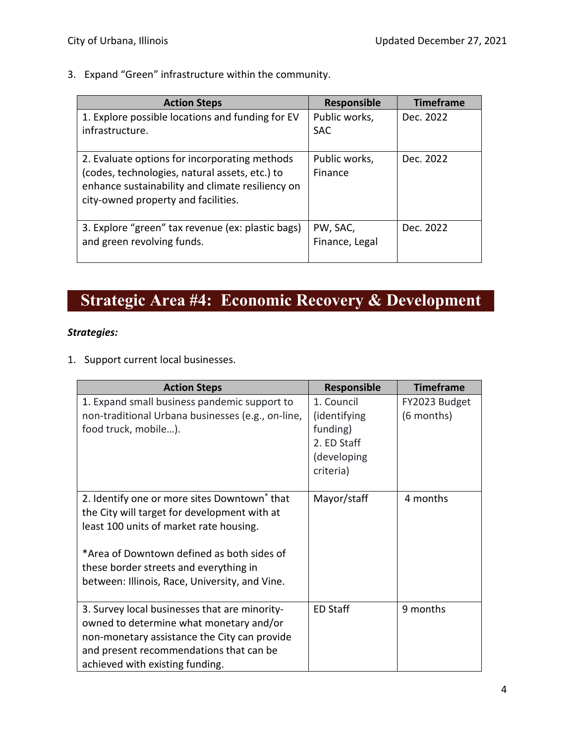3. Expand "Green" infrastructure within the community.

| <b>Action Steps</b>                                                                                                                                                                        | <b>Responsible</b>          | <b>Timeframe</b> |
|--------------------------------------------------------------------------------------------------------------------------------------------------------------------------------------------|-----------------------------|------------------|
| 1. Explore possible locations and funding for EV<br>infrastructure.                                                                                                                        | Public works,<br><b>SAC</b> | Dec. 2022        |
| 2. Evaluate options for incorporating methods<br>(codes, technologies, natural assets, etc.) to<br>enhance sustainability and climate resiliency on<br>city-owned property and facilities. | Public works,<br>Finance    | Dec. 2022        |
| 3. Explore "green" tax revenue (ex: plastic bags)<br>and green revolving funds.                                                                                                            | PW, SAC,<br>Finance, Legal  | Dec. 2022        |

# **Strategic Area #4: Economic Recovery & Development**

# *Strategies:*

1. Support current local businesses.

| <b>Action Steps</b>                                                                                                                                                                                                                                                                           | Responsible                                                                       | <b>Timeframe</b>            |
|-----------------------------------------------------------------------------------------------------------------------------------------------------------------------------------------------------------------------------------------------------------------------------------------------|-----------------------------------------------------------------------------------|-----------------------------|
| 1. Expand small business pandemic support to<br>non-traditional Urbana businesses (e.g., on-line,<br>food truck, mobile).                                                                                                                                                                     | 1. Council<br>(identifying<br>funding)<br>2. ED Staff<br>(developing<br>criteria) | FY2023 Budget<br>(6 months) |
| 2. Identify one or more sites Downtown <sup>*</sup> that<br>the City will target for development with at<br>least 100 units of market rate housing.<br>*Area of Downtown defined as both sides of<br>these border streets and everything in<br>between: Illinois, Race, University, and Vine. | Mayor/staff                                                                       | 4 months                    |
| 3. Survey local businesses that are minority-<br>owned to determine what monetary and/or<br>non-monetary assistance the City can provide<br>and present recommendations that can be<br>achieved with existing funding.                                                                        | <b>ED Staff</b>                                                                   | 9 months                    |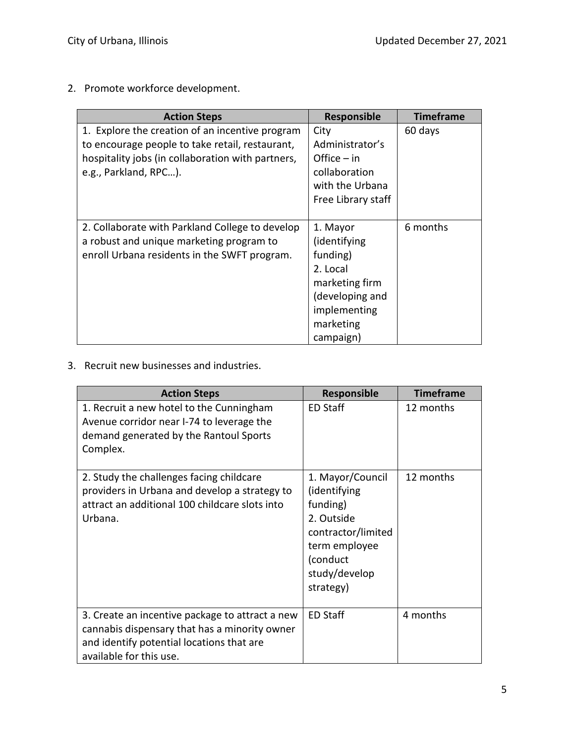2. Promote workforce development.

| <b>Action Steps</b>                                                                                                                                                              | <b>Responsible</b>                                                                                                              | <b>Timeframe</b> |
|----------------------------------------------------------------------------------------------------------------------------------------------------------------------------------|---------------------------------------------------------------------------------------------------------------------------------|------------------|
| 1. Explore the creation of an incentive program<br>to encourage people to take retail, restaurant,<br>hospitality jobs (in collaboration with partners,<br>e.g., Parkland, RPC). | City<br>Administrator's<br>Office $-$ in<br>collaboration<br>with the Urbana                                                    | 60 days          |
|                                                                                                                                                                                  | Free Library staff                                                                                                              |                  |
| 2. Collaborate with Parkland College to develop<br>a robust and unique marketing program to<br>enroll Urbana residents in the SWFT program.                                      | 1. Mayor<br>(identifying<br>funding)<br>2. Local<br>marketing firm<br>(developing and<br>implementing<br>marketing<br>campaign) | 6 months         |

3. Recruit new businesses and industries.

| <b>Action Steps</b>                                                                                                                                                      | <b>Responsible</b>                                                                                                                          | <b>Timeframe</b> |
|--------------------------------------------------------------------------------------------------------------------------------------------------------------------------|---------------------------------------------------------------------------------------------------------------------------------------------|------------------|
| 1. Recruit a new hotel to the Cunningham<br>Avenue corridor near I-74 to leverage the<br>demand generated by the Rantoul Sports<br>Complex.                              | ED Staff                                                                                                                                    | 12 months        |
| 2. Study the challenges facing childcare<br>providers in Urbana and develop a strategy to<br>attract an additional 100 childcare slots into<br>Urbana.                   | 1. Mayor/Council<br>(identifying<br>funding)<br>2. Outside<br>contractor/limited<br>term employee<br>(conduct<br>study/develop<br>strategy) | 12 months        |
| 3. Create an incentive package to attract a new<br>cannabis dispensary that has a minority owner<br>and identify potential locations that are<br>available for this use. | <b>ED Staff</b>                                                                                                                             | 4 months         |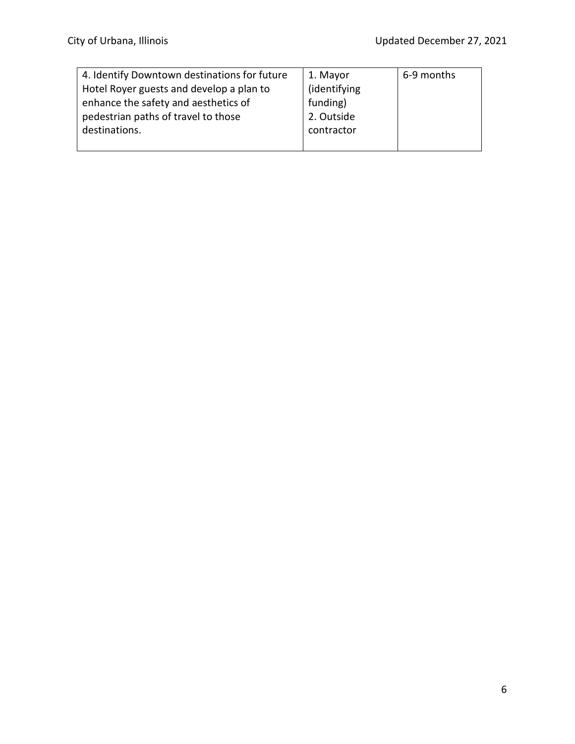| 4. Identify Downtown destinations for future | 1. Mayor     | 6-9 months |
|----------------------------------------------|--------------|------------|
| Hotel Royer guests and develop a plan to     | (identifying |            |
| enhance the safety and aesthetics of         | funding)     |            |
| pedestrian paths of travel to those          | 2. Outside   |            |
| destinations.                                | contractor   |            |
|                                              |              |            |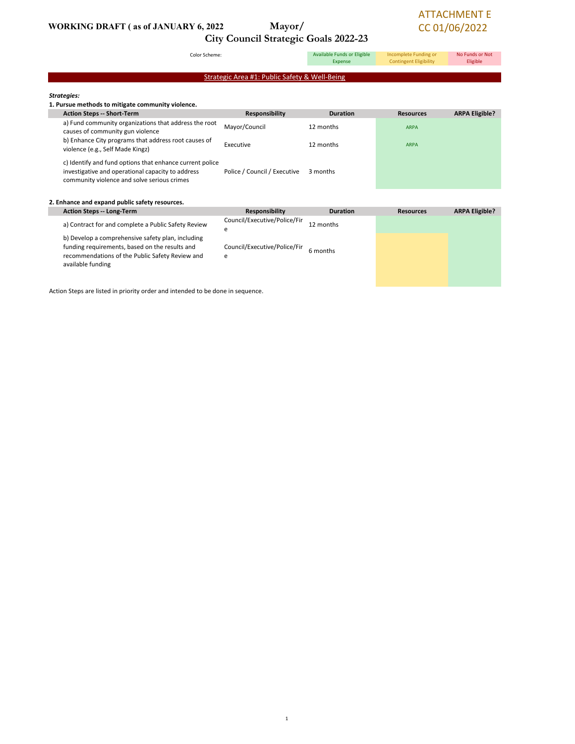### WORKING DRAFT (as of JANUARY 6, 2022 Mayor/

# City Council Strategic Goals 2022-23

### ATTACHMENT E CC 01/06/2022

Color Scheme: Strategies: 1. Pursue methods to mitigate community violence. Action Steps -- Short-Term Responsibility Duration Resources ARPA Eligible? a) Fund community organizations that address the root a) Fund community organizations that address the root Mayor/Council 12 months ARPA ARPA Causes of community gun violence b) Enhance City programs that address root causes of b) Ennance City programs that address root causes of Executive 12 months and the same ARPA violence (e.g., Self Made Kingz) c) Identify and fund options that enhance current police investigative and operational capacity to address community violence and solve serious crimes Police / Council / Executive 3 months 2. Enhance and expand public safety resources. Action Steps -- Long-Term **Responsibility Duration Responsibility Duration** Resources ARPA Eligible? a) Contract for and complete a Public Safety Review Council/Executive/Police/Fir e 12 months b) Develop a comprehensive safety plan, including funding requirements, based on the results and Council/Executive/Police/Fir 6 months Strategic Area #1: Public Safety & Well-Being Available Funds or Eligible Expense Incomplete Funding or Contingent Eligibility No Funds or Not Eligible

e

Action Steps are listed in priority order and intended to be done in sequence.

recommendations of the Public Safety Review and

available funding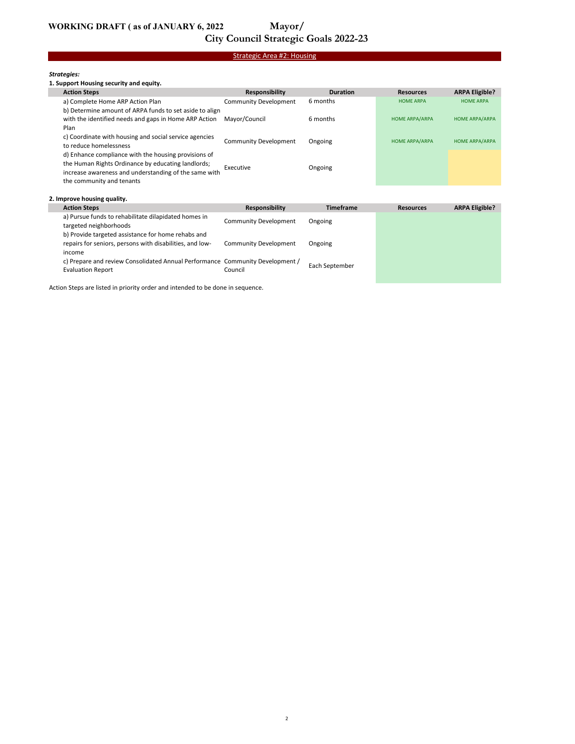# City Council Strategic Goals 2022-23

### Strategic Area #2: Housing

#### Strategies:

#### 1. Support Housing security and equity.

|  | <b>Action Steps</b>                                     | Responsibility               | <b>Duration</b>  | <b>Resources</b>      | <b>ARPA Eligible?</b> |
|--|---------------------------------------------------------|------------------------------|------------------|-----------------------|-----------------------|
|  | a) Complete Home ARP Action Plan                        | <b>Community Development</b> | 6 months         | <b>HOME ARPA</b>      | <b>HOME ARPA</b>      |
|  | b) Determine amount of ARPA funds to set aside to align |                              |                  |                       |                       |
|  | with the identified needs and gaps in Home ARP Action   | Mayor/Council                | 6 months         | <b>HOME ARPA/ARPA</b> | <b>HOME ARPA/ARPA</b> |
|  | Plan                                                    |                              |                  |                       |                       |
|  | c) Coordinate with housing and social service agencies  | <b>Community Development</b> | Ongoing          | <b>HOME ARPA/ARPA</b> | <b>HOME ARPA/ARPA</b> |
|  | to reduce homelessness                                  |                              |                  |                       |                       |
|  | d) Enhance compliance with the housing provisions of    |                              |                  |                       |                       |
|  | the Human Rights Ordinance by educating landlords;      | Executive                    | Ongoing          |                       |                       |
|  | increase awareness and understanding of the same with   |                              |                  |                       |                       |
|  | the community and tenants                               |                              |                  |                       |                       |
|  |                                                         |                              |                  |                       |                       |
|  | 2. Improve housing quality.                             |                              |                  |                       |                       |
|  | <b>Action Steps</b>                                     | Responsibility               | <b>Timeframe</b> | <b>Resources</b>      | <b>ARPA Eligible?</b> |
|  |                                                         |                              |                  |                       |                       |

| a) Pursue funds to rehabilitate dilapidated homes in<br>targeted neighborhoods                                 | <b>Community Development</b> | Ongoing        |  |
|----------------------------------------------------------------------------------------------------------------|------------------------------|----------------|--|
| b) Provide targeted assistance for home rehabs and<br>repairs for seniors, persons with disabilities, and low- | Community Development        | Ongoing        |  |
| income<br>c) Prepare and review Consolidated Annual Performance Community Development /                        |                              |                |  |
| <b>Evaluation Report</b>                                                                                       | Council                      | Each September |  |

Action Steps are listed in priority order and intended to be done in sequence.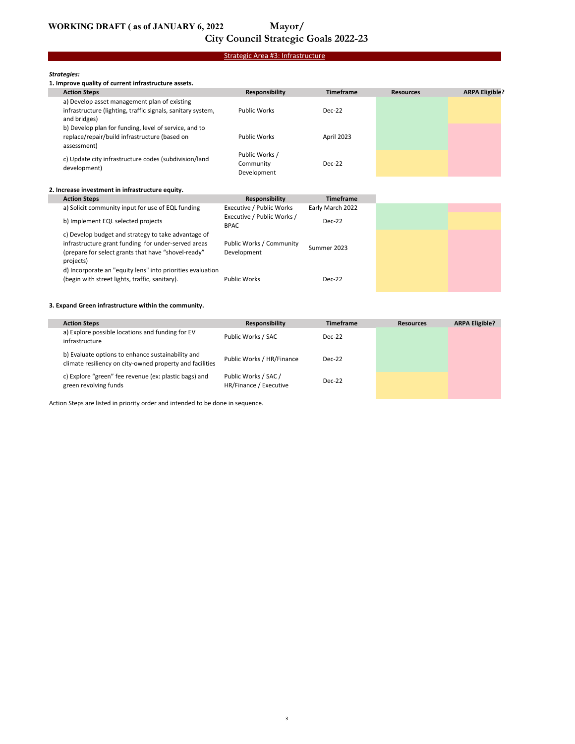# City Council Strategic Goals 2022-23

### Strategic Area #3: Infrastructure

#### Strategies:

| 1. Improve quality of current infrastructure assets.                                                                        |                                            |                  |                  |                       |  |
|-----------------------------------------------------------------------------------------------------------------------------|--------------------------------------------|------------------|------------------|-----------------------|--|
| <b>Action Steps</b>                                                                                                         | <b>Responsibility</b>                      | <b>Timeframe</b> | <b>Resources</b> | <b>ARPA Eligible?</b> |  |
| a) Develop asset management plan of existing<br>infrastructure (lighting, traffic signals, sanitary system,<br>and bridges) | <b>Public Works</b>                        | $Dec-22$         |                  |                       |  |
| b) Develop plan for funding, level of service, and to<br>replace/repair/build infrastructure (based on<br>assessment)       | <b>Public Works</b>                        | April 2023       |                  |                       |  |
| c) Update city infrastructure codes (subdivision/land<br>development)                                                       | Public Works /<br>Community<br>Development | $Dec-22$         |                  |                       |  |

#### 2. Increase investment in infrastructure equity.

| <b>Action Steps</b>                                                                                                                                                            | Responsibility                          | <b>Timeframe</b> |
|--------------------------------------------------------------------------------------------------------------------------------------------------------------------------------|-----------------------------------------|------------------|
| a) Solicit community input for use of EQL funding                                                                                                                              | Executive / Public Works                | Early March 2022 |
| b) Implement EQL selected projects                                                                                                                                             | Executive / Public Works /<br>BPAC      | $Dec-22$         |
| c) Develop budget and strategy to take advantage of<br>infrastructure grant funding for under-served areas<br>(prepare for select grants that have "shovel-ready"<br>projects) | Public Works / Community<br>Development | Summer 2023      |
| d) Incorporate an "equity lens" into priorities evaluation<br>(begin with street lights, traffic, sanitary).                                                                   | <b>Public Works</b>                     | $Dec-22$         |

#### 3. Expand Green infrastructure within the community.

| <b>Action Steps</b>                                                                                           | <b>Responsibility</b>                          | <b>Timeframe</b> | <b>Resources</b> | <b>ARPA Eligible?</b> |
|---------------------------------------------------------------------------------------------------------------|------------------------------------------------|------------------|------------------|-----------------------|
| a) Explore possible locations and funding for EV<br>infrastructure                                            | Public Works / SAC                             | $Dec-22$         |                  |                       |
| b) Evaluate options to enhance sustainability and<br>climate resiliency on city-owned property and facilities | Public Works / HR/Finance                      | $Dec-22$         |                  |                       |
| c) Explore "green" fee revenue (ex: plastic bags) and<br>green revolving funds                                | Public Works / SAC /<br>HR/Finance / Executive | $Dec-22$         |                  |                       |

Action Steps are listed in priority order and intended to be done in sequence.